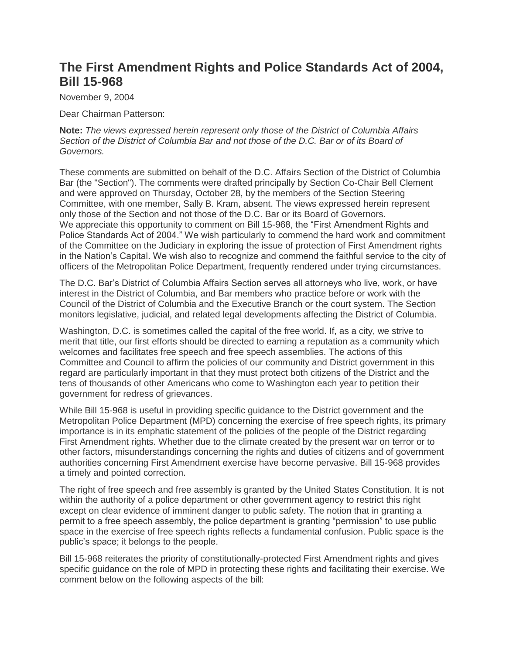# **The First Amendment Rights and Police Standards Act of 2004, Bill 15-968**

November 9, 2004

Dear Chairman Patterson:

**Note:** *The views expressed herein represent only those of the District of Columbia Affairs Section of the District of Columbia Bar and not those of the D.C. Bar or of its Board of Governors.*

These comments are submitted on behalf of the D.C. Affairs Section of the District of Columbia Bar (the "Section"). The comments were drafted principally by Section Co-Chair Bell Clement and were approved on Thursday, October 28, by the members of the Section Steering Committee, with one member, Sally B. Kram, absent. The views expressed herein represent only those of the Section and not those of the D.C. Bar or its Board of Governors. We appreciate this opportunity to comment on Bill 15-968, the "First Amendment Rights and Police Standards Act of 2004." We wish particularly to commend the hard work and commitment of the Committee on the Judiciary in exploring the issue of protection of First Amendment rights in the Nation's Capital. We wish also to recognize and commend the faithful service to the city of officers of the Metropolitan Police Department, frequently rendered under trying circumstances.

The D.C. Bar's District of Columbia Affairs Section serves all attorneys who live, work, or have interest in the District of Columbia, and Bar members who practice before or work with the Council of the District of Columbia and the Executive Branch or the court system. The Section monitors legislative, judicial, and related legal developments affecting the District of Columbia.

Washington, D.C. is sometimes called the capital of the free world. If, as a city, we strive to merit that title, our first efforts should be directed to earning a reputation as a community which welcomes and facilitates free speech and free speech assemblies. The actions of this Committee and Council to affirm the policies of our community and District government in this regard are particularly important in that they must protect both citizens of the District and the tens of thousands of other Americans who come to Washington each year to petition their government for redress of grievances.

While Bill 15-968 is useful in providing specific guidance to the District government and the Metropolitan Police Department (MPD) concerning the exercise of free speech rights, its primary importance is in its emphatic statement of the policies of the people of the District regarding First Amendment rights. Whether due to the climate created by the present war on terror or to other factors, misunderstandings concerning the rights and duties of citizens and of government authorities concerning First Amendment exercise have become pervasive. Bill 15-968 provides a timely and pointed correction.

The right of free speech and free assembly is granted by the United States Constitution. It is not within the authority of a police department or other government agency to restrict this right except on clear evidence of imminent danger to public safety. The notion that in granting a permit to a free speech assembly, the police department is granting "permission" to use public space in the exercise of free speech rights reflects a fundamental confusion. Public space is the public's space; it belongs to the people.

Bill 15-968 reiterates the priority of constitutionally-protected First Amendment rights and gives specific guidance on the role of MPD in protecting these rights and facilitating their exercise. We comment below on the following aspects of the bill: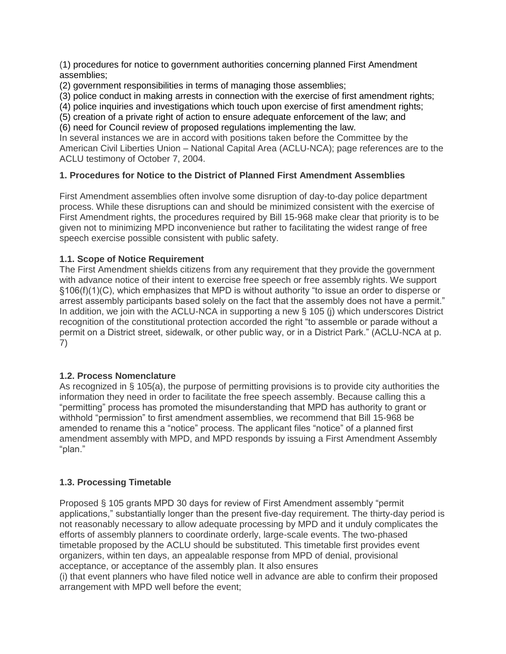(1) procedures for notice to government authorities concerning planned First Amendment assemblies;

(2) government responsibilities in terms of managing those assemblies;

(3) police conduct in making arrests in connection with the exercise of first amendment rights;

(4) police inquiries and investigations which touch upon exercise of first amendment rights;

(5) creation of a private right of action to ensure adequate enforcement of the law; and

(6) need for Council review of proposed regulations implementing the law.

In several instances we are in accord with positions taken before the Committee by the American Civil Liberties Union – National Capital Area (ACLU-NCA); page references are to the ACLU testimony of October 7, 2004.

# **1. Procedures for Notice to the District of Planned First Amendment Assemblies**

First Amendment assemblies often involve some disruption of day-to-day police department process. While these disruptions can and should be minimized consistent with the exercise of First Amendment rights, the procedures required by Bill 15-968 make clear that priority is to be given not to minimizing MPD inconvenience but rather to facilitating the widest range of free speech exercise possible consistent with public safety.

# **1.1. Scope of Notice Requirement**

The First Amendment shields citizens from any requirement that they provide the government with advance notice of their intent to exercise free speech or free assembly rights. We support §106(f)(1)(C), which emphasizes that MPD is without authority "to issue an order to disperse or arrest assembly participants based solely on the fact that the assembly does not have a permit." In addition, we join with the ACLU-NCA in supporting a new § 105 (j) which underscores District recognition of the constitutional protection accorded the right "to assemble or parade without a permit on a District street, sidewalk, or other public way, or in a District Park." (ACLU-NCA at p. 7)

# **1.2. Process Nomenclature**

As recognized in § 105(a), the purpose of permitting provisions is to provide city authorities the information they need in order to facilitate the free speech assembly. Because calling this a "permitting" process has promoted the misunderstanding that MPD has authority to grant or withhold "permission" to first amendment assemblies, we recommend that Bill 15-968 be amended to rename this a "notice" process. The applicant files "notice" of a planned first amendment assembly with MPD, and MPD responds by issuing a First Amendment Assembly "plan."

# **1.3. Processing Timetable**

Proposed § 105 grants MPD 30 days for review of First Amendment assembly "permit applications," substantially longer than the present five-day requirement. The thirty-day period is not reasonably necessary to allow adequate processing by MPD and it unduly complicates the efforts of assembly planners to coordinate orderly, large-scale events. The two-phased timetable proposed by the ACLU should be substituted. This timetable first provides event organizers, within ten days, an appealable response from MPD of denial, provisional acceptance, or acceptance of the assembly plan. It also ensures

(i) that event planners who have filed notice well in advance are able to confirm their proposed arrangement with MPD well before the event;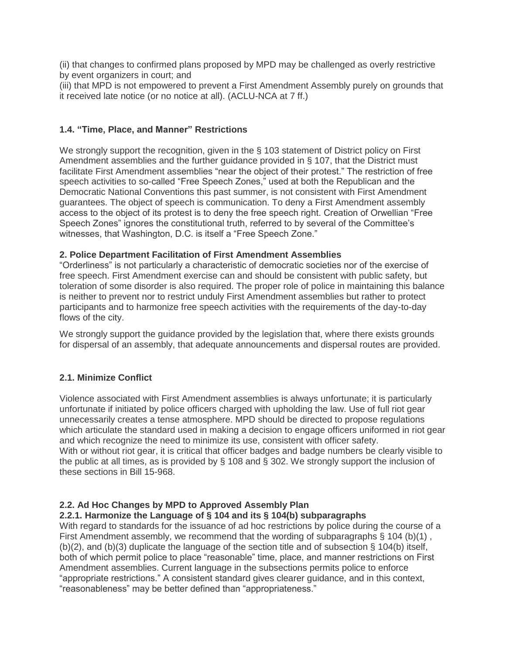(ii) that changes to confirmed plans proposed by MPD may be challenged as overly restrictive by event organizers in court; and

(iii) that MPD is not empowered to prevent a First Amendment Assembly purely on grounds that it received late notice (or no notice at all). (ACLU-NCA at 7 ff.)

# **1.4. "Time, Place, and Manner" Restrictions**

We strongly support the recognition, given in the § 103 statement of District policy on First Amendment assemblies and the further guidance provided in § 107, that the District must facilitate First Amendment assemblies "near the object of their protest." The restriction of free speech activities to so-called "Free Speech Zones," used at both the Republican and the Democratic National Conventions this past summer, is not consistent with First Amendment guarantees. The object of speech is communication. To deny a First Amendment assembly access to the object of its protest is to deny the free speech right. Creation of Orwellian "Free Speech Zones" ignores the constitutional truth, referred to by several of the Committee's witnesses, that Washington, D.C. is itself a "Free Speech Zone."

## **2. Police Department Facilitation of First Amendment Assemblies**

"Orderliness" is not particularly a characteristic of democratic societies nor of the exercise of free speech. First Amendment exercise can and should be consistent with public safety, but toleration of some disorder is also required. The proper role of police in maintaining this balance is neither to prevent nor to restrict unduly First Amendment assemblies but rather to protect participants and to harmonize free speech activities with the requirements of the day-to-day flows of the city.

We strongly support the guidance provided by the legislation that, where there exists grounds for dispersal of an assembly, that adequate announcements and dispersal routes are provided.

# **2.1. Minimize Conflict**

Violence associated with First Amendment assemblies is always unfortunate; it is particularly unfortunate if initiated by police officers charged with upholding the law. Use of full riot gear unnecessarily creates a tense atmosphere. MPD should be directed to propose regulations which articulate the standard used in making a decision to engage officers uniformed in riot gear and which recognize the need to minimize its use, consistent with officer safety. With or without riot gear, it is critical that officer badges and badge numbers be clearly visible to the public at all times, as is provided by § 108 and § 302. We strongly support the inclusion of these sections in Bill 15-968.

# **2.2. Ad Hoc Changes by MPD to Approved Assembly Plan**

#### **2.2.1. Harmonize the Language of § 104 and its § 104(b) subparagraphs**

With regard to standards for the issuance of ad hoc restrictions by police during the course of a First Amendment assembly, we recommend that the wording of subparagraphs  $\S$  104 (b)(1),  $(b)(2)$ , and  $(b)(3)$  duplicate the language of the section title and of subsection § 104(b) itself, both of which permit police to place "reasonable" time, place, and manner restrictions on First Amendment assemblies. Current language in the subsections permits police to enforce "appropriate restrictions." A consistent standard gives clearer guidance, and in this context, "reasonableness" may be better defined than "appropriateness."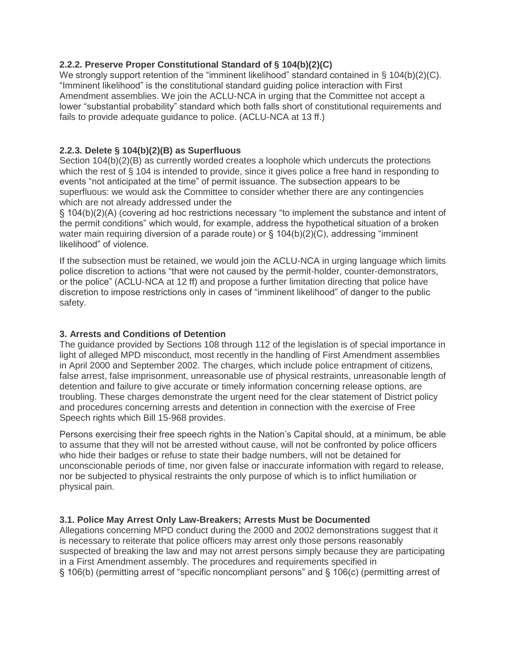# **2.2.2. Preserve Proper Constitutional Standard of § 104(b)(2)(C)**

We strongly support retention of the "imminent likelihood" standard contained in § 104(b)(2)(C). "Imminent likelihood" is the constitutional standard guiding police interaction with First Amendment assemblies. We join the ACLU-NCA in urging that the Committee not accept a lower "substantial probability" standard which both falls short of constitutional requirements and fails to provide adequate guidance to police. (ACLU-NCA at 13 ff.)

# **2.2.3. Delete § 104(b)(2)(B) as Superfluous**

Section 104(b)(2)(B) as currently worded creates a loophole which undercuts the protections which the rest of § 104 is intended to provide, since it gives police a free hand in responding to events "not anticipated at the time" of permit issuance. The subsection appears to be superfluous: we would ask the Committee to consider whether there are any contingencies which are not already addressed under the

§ 104(b)(2)(A) (covering ad hoc restrictions necessary "to implement the substance and intent of the permit conditions" which would, for example, address the hypothetical situation of a broken water main requiring diversion of a parade route) or  $\S$  104(b)(2)(C), addressing "imminent likelihood" of violence.

If the subsection must be retained, we would join the ACLU-NCA in urging language which limits police discretion to actions "that were not caused by the permit-holder, counter-demonstrators, or the police" (ACLU-NCA at 12 ff) and propose a further limitation directing that police have discretion to impose restrictions only in cases of "imminent likelihood" of danger to the public safety.

# **3. Arrests and Conditions of Detention**

The guidance provided by Sections 108 through 112 of the legislation is of special importance in light of alleged MPD misconduct, most recently in the handling of First Amendment assemblies in April 2000 and September 2002. The charges, which include police entrapment of citizens, false arrest, false imprisonment, unreasonable use of physical restraints, unreasonable length of detention and failure to give accurate or timely information concerning release options, are troubling. These charges demonstrate the urgent need for the clear statement of District policy and procedures concerning arrests and detention in connection with the exercise of Free Speech rights which Bill 15-968 provides.

Persons exercising their free speech rights in the Nation's Capital should, at a minimum, be able to assume that they will not be arrested without cause, will not be confronted by police officers who hide their badges or refuse to state their badge numbers, will not be detained for unconscionable periods of time, nor given false or inaccurate information with regard to release, nor be subjected to physical restraints the only purpose of which is to inflict humiliation or physical pain.

# **3.1. Police May Arrest Only Law-Breakers; Arrests Must be Documented**

Allegations concerning MPD conduct during the 2000 and 2002 demonstrations suggest that it is necessary to reiterate that police officers may arrest only those persons reasonably suspected of breaking the law and may not arrest persons simply because they are participating in a First Amendment assembly. The procedures and requirements specified in § 106(b) (permitting arrest of "specific noncompliant persons" and § 106(c) (permitting arrest of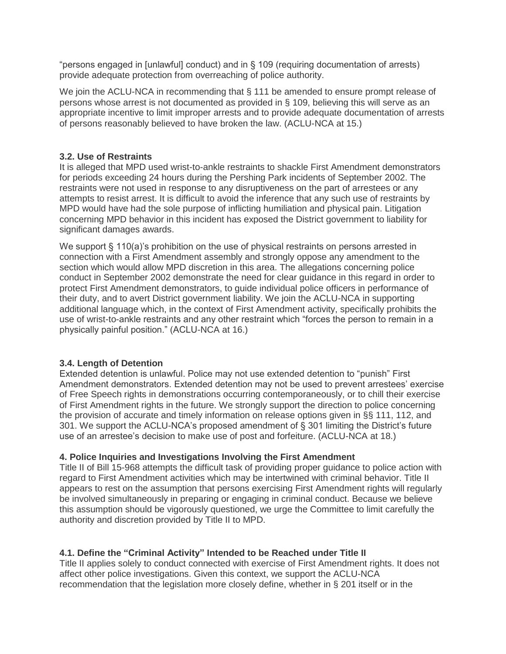"persons engaged in [unlawful] conduct) and in § 109 (requiring documentation of arrests) provide adequate protection from overreaching of police authority.

We join the ACLU-NCA in recommending that § 111 be amended to ensure prompt release of persons whose arrest is not documented as provided in § 109, believing this will serve as an appropriate incentive to limit improper arrests and to provide adequate documentation of arrests of persons reasonably believed to have broken the law. (ACLU-NCA at 15.)

# **3.2. Use of Restraints**

It is alleged that MPD used wrist-to-ankle restraints to shackle First Amendment demonstrators for periods exceeding 24 hours during the Pershing Park incidents of September 2002. The restraints were not used in response to any disruptiveness on the part of arrestees or any attempts to resist arrest. It is difficult to avoid the inference that any such use of restraints by MPD would have had the sole purpose of inflicting humiliation and physical pain. Litigation concerning MPD behavior in this incident has exposed the District government to liability for significant damages awards.

We support § 110(a)'s prohibition on the use of physical restraints on persons arrested in connection with a First Amendment assembly and strongly oppose any amendment to the section which would allow MPD discretion in this area. The allegations concerning police conduct in September 2002 demonstrate the need for clear guidance in this regard in order to protect First Amendment demonstrators, to guide individual police officers in performance of their duty, and to avert District government liability. We join the ACLU-NCA in supporting additional language which, in the context of First Amendment activity, specifically prohibits the use of wrist-to-ankle restraints and any other restraint which "forces the person to remain in a physically painful position." (ACLU-NCA at 16.)

# **3.4. Length of Detention**

Extended detention is unlawful. Police may not use extended detention to "punish" First Amendment demonstrators. Extended detention may not be used to prevent arrestees' exercise of Free Speech rights in demonstrations occurring contemporaneously, or to chill their exercise of First Amendment rights in the future. We strongly support the direction to police concerning the provision of accurate and timely information on release options given in §§ 111, 112, and 301. We support the ACLU-NCA's proposed amendment of § 301 limiting the District's future use of an arrestee's decision to make use of post and forfeiture. (ACLU-NCA at 18.)

# **4. Police Inquiries and Investigations Involving the First Amendment**

Title II of Bill 15-968 attempts the difficult task of providing proper guidance to police action with regard to First Amendment activities which may be intertwined with criminal behavior. Title II appears to rest on the assumption that persons exercising First Amendment rights will regularly be involved simultaneously in preparing or engaging in criminal conduct. Because we believe this assumption should be vigorously questioned, we urge the Committee to limit carefully the authority and discretion provided by Title II to MPD.

# **4.1. Define the "Criminal Activity" Intended to be Reached under Title II**

Title II applies solely to conduct connected with exercise of First Amendment rights. It does not affect other police investigations. Given this context, we support the ACLU-NCA recommendation that the legislation more closely define, whether in § 201 itself or in the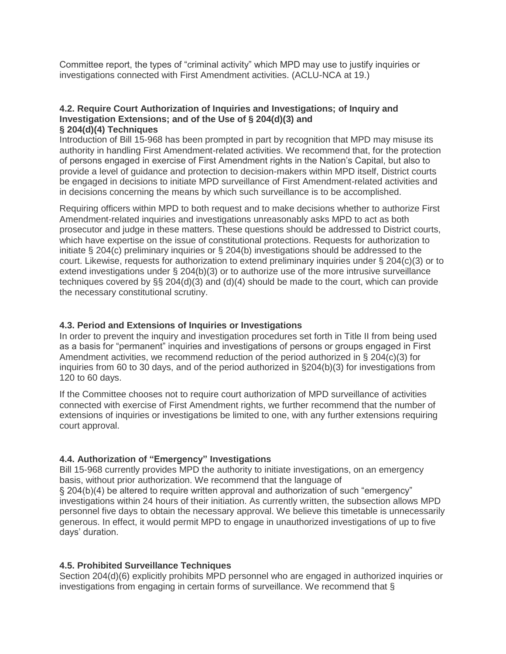Committee report, the types of "criminal activity" which MPD may use to justify inquiries or investigations connected with First Amendment activities. (ACLU-NCA at 19.)

#### **4.2. Require Court Authorization of Inquiries and Investigations; of Inquiry and Investigation Extensions; and of the Use of § 204(d)(3) and § 204(d)(4) Techniques**

Introduction of Bill 15-968 has been prompted in part by recognition that MPD may misuse its authority in handling First Amendment-related activities. We recommend that, for the protection of persons engaged in exercise of First Amendment rights in the Nation's Capital, but also to provide a level of guidance and protection to decision-makers within MPD itself, District courts be engaged in decisions to initiate MPD surveillance of First Amendment-related activities and in decisions concerning the means by which such surveillance is to be accomplished.

Requiring officers within MPD to both request and to make decisions whether to authorize First Amendment-related inquiries and investigations unreasonably asks MPD to act as both prosecutor and judge in these matters. These questions should be addressed to District courts, which have expertise on the issue of constitutional protections. Requests for authorization to initiate § 204(c) preliminary inquiries or § 204(b) investigations should be addressed to the court. Likewise, requests for authorization to extend preliminary inquiries under § 204(c)(3) or to extend investigations under § 204(b)(3) or to authorize use of the more intrusive surveillance techniques covered by §§ 204(d)(3) and (d)(4) should be made to the court, which can provide the necessary constitutional scrutiny.

## **4.3. Period and Extensions of Inquiries or Investigations**

In order to prevent the inquiry and investigation procedures set forth in Title II from being used as a basis for "permanent" inquiries and investigations of persons or groups engaged in First Amendment activities, we recommend reduction of the period authorized in § 204(c)(3) for inquiries from 60 to 30 days, and of the period authorized in §204(b)(3) for investigations from 120 to 60 days.

If the Committee chooses not to require court authorization of MPD surveillance of activities connected with exercise of First Amendment rights, we further recommend that the number of extensions of inquiries or investigations be limited to one, with any further extensions requiring court approval.

# **4.4. Authorization of "Emergency" Investigations**

Bill 15-968 currently provides MPD the authority to initiate investigations, on an emergency basis, without prior authorization. We recommend that the language of § 204(b)(4) be altered to require written approval and authorization of such "emergency" investigations within 24 hours of their initiation. As currently written, the subsection allows MPD personnel five days to obtain the necessary approval. We believe this timetable is unnecessarily generous. In effect, it would permit MPD to engage in unauthorized investigations of up to five days' duration.

# **4.5. Prohibited Surveillance Techniques**

Section 204(d)(6) explicitly prohibits MPD personnel who are engaged in authorized inquiries or investigations from engaging in certain forms of surveillance. We recommend that §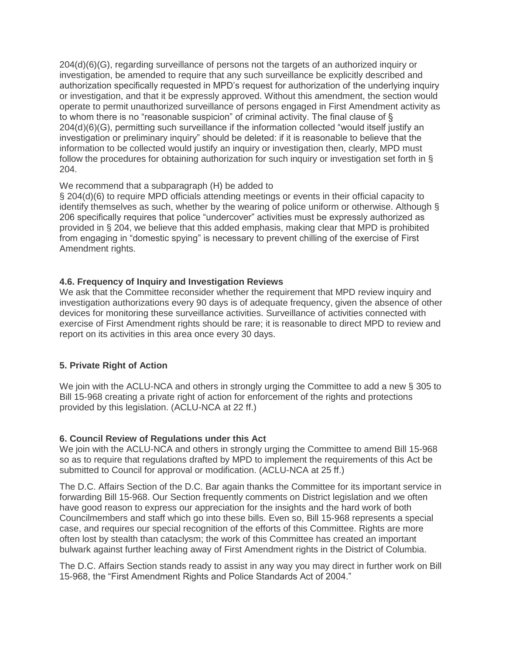204(d)(6)(G), regarding surveillance of persons not the targets of an authorized inquiry or investigation, be amended to require that any such surveillance be explicitly described and authorization specifically requested in MPD's request for authorization of the underlying inquiry or investigation, and that it be expressly approved. Without this amendment, the section would operate to permit unauthorized surveillance of persons engaged in First Amendment activity as to whom there is no "reasonable suspicion" of criminal activity. The final clause of § 204(d)(6)(G), permitting such surveillance if the information collected "would itself justify an investigation or preliminary inquiry" should be deleted: if it is reasonable to believe that the information to be collected would justify an inquiry or investigation then, clearly, MPD must follow the procedures for obtaining authorization for such inquiry or investigation set forth in § 204.

## We recommend that a subparagraph (H) be added to

§ 204(d)(6) to require MPD officials attending meetings or events in their official capacity to identify themselves as such, whether by the wearing of police uniform or otherwise. Although § 206 specifically requires that police "undercover" activities must be expressly authorized as provided in § 204, we believe that this added emphasis, making clear that MPD is prohibited from engaging in "domestic spying" is necessary to prevent chilling of the exercise of First Amendment rights.

# **4.6. Frequency of Inquiry and Investigation Reviews**

We ask that the Committee reconsider whether the requirement that MPD review inquiry and investigation authorizations every 90 days is of adequate frequency, given the absence of other devices for monitoring these surveillance activities. Surveillance of activities connected with exercise of First Amendment rights should be rare; it is reasonable to direct MPD to review and report on its activities in this area once every 30 days.

# **5. Private Right of Action**

We join with the ACLU-NCA and others in strongly urging the Committee to add a new § 305 to Bill 15-968 creating a private right of action for enforcement of the rights and protections provided by this legislation. (ACLU-NCA at 22 ff.)

#### **6. Council Review of Regulations under this Act**

We join with the ACLU-NCA and others in strongly urging the Committee to amend Bill 15-968 so as to require that regulations drafted by MPD to implement the requirements of this Act be submitted to Council for approval or modification. (ACLU-NCA at 25 ff.)

The D.C. Affairs Section of the D.C. Bar again thanks the Committee for its important service in forwarding Bill 15-968. Our Section frequently comments on District legislation and we often have good reason to express our appreciation for the insights and the hard work of both Councilmembers and staff which go into these bills. Even so, Bill 15-968 represents a special case, and requires our special recognition of the efforts of this Committee. Rights are more often lost by stealth than cataclysm; the work of this Committee has created an important bulwark against further leaching away of First Amendment rights in the District of Columbia.

The D.C. Affairs Section stands ready to assist in any way you may direct in further work on Bill 15-968, the "First Amendment Rights and Police Standards Act of 2004."